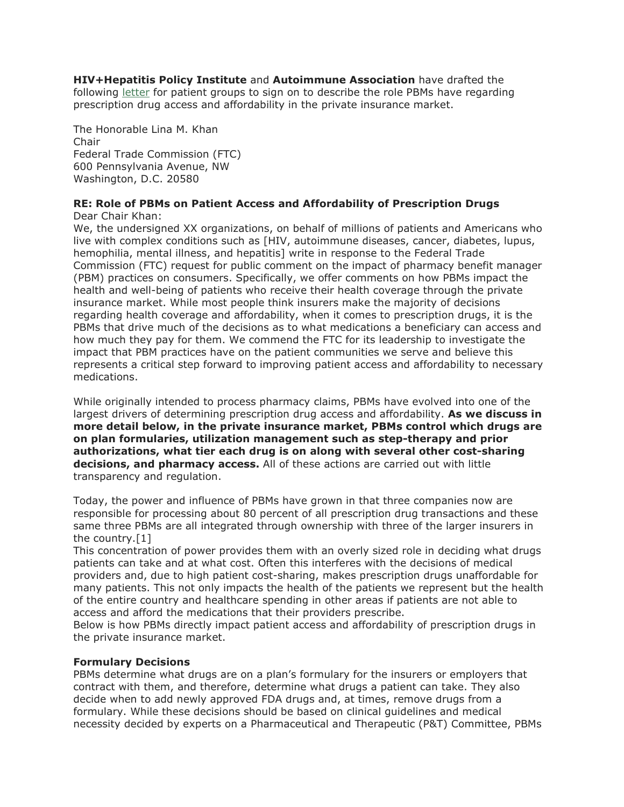**HIV+Hepatitis Policy Institute** and **Autoimmune Association** have drafted the following [letter](https://r20.rs6.net/tn.jsp?f=001CuL-Cnr8yendvSzYWNYArdYiQFDrQEPavmN33Ui9lLLlKAcHsRs-zc6ido4fwS5f2gDv7NFb1Ese6UocSr4VPzc1EQJ-FsVirHSanBcRp-n5U13VWmuu10bPi4wBhxccCdEw7rkhKHJW9W73gDGfsa3OXO8LGt7-Xe9Qw0Ii5UkN7ppTChPP3j2Up4JGkT1yN-ctRLxpGycqJc2FtLyw_VYDBIUE8OvKqqNgScofyG5QL-4Ma4yepskpRBZfBot3&c=dQoG50ztEfBQO2WP6wLEkwvZicYLQE9iS7Ehbd2GS9grlqOyO0Xinw==&ch=7PhW4FmM1kGKaqBCsMv74-H5dyw1vnoueGbrSMjeZD-1s9mF4nTgkg==) for patient groups to sign on to describe the role PBMs have regarding prescription drug access and affordability in the private insurance market.

The Honorable Lina M. Khan Chair Federal Trade Commission (FTC) 600 Pennsylvania Avenue, NW Washington, D.C. 20580

#### **RE: Role of PBMs on Patient Access and Affordability of Prescription Drugs** Dear Chair Khan:

We, the undersigned XX organizations, on behalf of millions of patients and Americans who live with complex conditions such as [HIV, autoimmune diseases, cancer, diabetes, lupus, hemophilia, mental illness, and hepatitis] write in response to the Federal Trade Commission (FTC) request for public comment on the impact of pharmacy benefit manager (PBM) practices on consumers. Specifically, we offer comments on how PBMs impact the health and well-being of patients who receive their health coverage through the private insurance market. While most people think insurers make the majority of decisions regarding health coverage and affordability, when it comes to prescription drugs, it is the PBMs that drive much of the decisions as to what medications a beneficiary can access and how much they pay for them. We commend the FTC for its leadership to investigate the impact that PBM practices have on the patient communities we serve and believe this represents a critical step forward to improving patient access and affordability to necessary medications.

While originally intended to process pharmacy claims, PBMs have evolved into one of the largest drivers of determining prescription drug access and affordability. **As we discuss in more detail below, in the private insurance market, PBMs control which drugs are on plan formularies, utilization management such as step-therapy and prior authorizations, what tier each drug is on along with several other cost-sharing decisions, and pharmacy access.** All of these actions are carried out with little transparency and regulation.

Today, the power and influence of PBMs have grown in that three companies now are responsible for processing about 80 percent of all prescription drug transactions and these same three PBMs are all integrated through ownership with three of the larger insurers in the country.[1]

This concentration of power provides them with an overly sized role in deciding what drugs patients can take and at what cost. Often this interferes with the decisions of medical providers and, due to high patient cost-sharing, makes prescription drugs unaffordable for many patients. This not only impacts the health of the patients we represent but the health of the entire country and healthcare spending in other areas if patients are not able to access and afford the medications that their providers prescribe.

Below is how PBMs directly impact patient access and affordability of prescription drugs in the private insurance market.

# **Formulary Decisions**

PBMs determine what drugs are on a plan's formulary for the insurers or employers that contract with them, and therefore, determine what drugs a patient can take. They also decide when to add newly approved FDA drugs and, at times, remove drugs from a formulary. While these decisions should be based on clinical guidelines and medical necessity decided by experts on a Pharmaceutical and Therapeutic (P&T) Committee, PBMs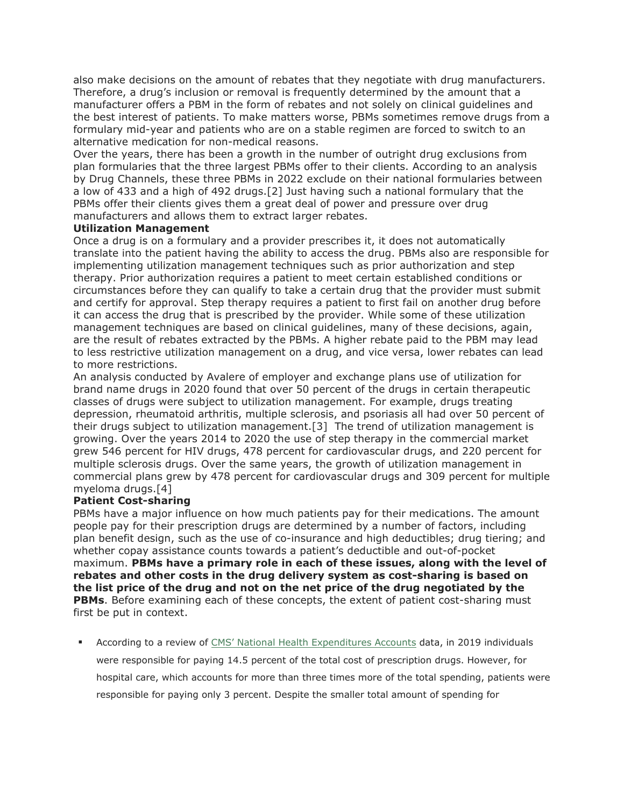also make decisions on the amount of rebates that they negotiate with drug manufacturers. Therefore, a drug's inclusion or removal is frequently determined by the amount that a manufacturer offers a PBM in the form of rebates and not solely on clinical guidelines and the best interest of patients. To make matters worse, PBMs sometimes remove drugs from a formulary mid-year and patients who are on a stable regimen are forced to switch to an alternative medication for non-medical reasons.

Over the years, there has been a growth in the number of outright drug exclusions from plan formularies that the three largest PBMs offer to their clients. According to an analysis by Drug Channels, these three PBMs in 2022 exclude on their national formularies between a low of 433 and a high of 492 drugs.[2] Just having such a national formulary that the PBMs offer their clients gives them a great deal of power and pressure over drug manufacturers and allows them to extract larger rebates.

## **Utilization Management**

Once a drug is on a formulary and a provider prescribes it, it does not automatically translate into the patient having the ability to access the drug. PBMs also are responsible for implementing utilization management techniques such as prior authorization and step therapy. Prior authorization requires a patient to meet certain established conditions or circumstances before they can qualify to take a certain drug that the provider must submit and certify for approval. Step therapy requires a patient to first fail on another drug before it can access the drug that is prescribed by the provider. While some of these utilization management techniques are based on clinical guidelines, many of these decisions, again, are the result of rebates extracted by the PBMs. A higher rebate paid to the PBM may lead to less restrictive utilization management on a drug, and vice versa, lower rebates can lead to more restrictions.

An analysis conducted by Avalere of employer and exchange plans use of utilization for brand name drugs in 2020 found that over 50 percent of the drugs in certain therapeutic classes of drugs were subject to utilization management. For example, drugs treating depression, rheumatoid arthritis, multiple sclerosis, and psoriasis all had over 50 percent of their drugs subject to utilization management.[3] The trend of utilization management is growing. Over the years 2014 to 2020 the use of step therapy in the commercial market grew 546 percent for HIV drugs, 478 percent for cardiovascular drugs, and 220 percent for multiple sclerosis drugs. Over the same years, the growth of utilization management in commercial plans grew by 478 percent for cardiovascular drugs and 309 percent for multiple myeloma drugs.[4]

## **Patient Cost-sharing**

PBMs have a major influence on how much patients pay for their medications. The amount people pay for their prescription drugs are determined by a number of factors, including plan benefit design, such as the use of co-insurance and high deductibles; drug tiering; and whether copay assistance counts towards a patient's deductible and out-of-pocket maximum. **PBMs have a primary role in each of these issues, along with the level of rebates and other costs in the drug delivery system as cost-sharing is based on the list price of the drug and not on the net price of the drug negotiated by the PBMs**. Before examining each of these concepts, the extent of patient cost-sharing must first be put in context.

 According to a review of [CMS' National Health Expenditures Accounts](https://r20.rs6.net/tn.jsp?f=001CuL-Cnr8yendvSzYWNYArdYiQFDrQEPavmN33Ui9lLLlKAcHsRs-zbXaSdyzVKw18W0_FlAtKq6kFQaeuwxFst6ni9Sq_r5XjuiCt4TcDEyxMtBHluwZEH7F5tuX47Uk13R9Aa6OfvD0o8mpPl_MbXRB8DEIcTBGLn15Jl49tUaJbep2QTGx3e-vdbzT_7wahGPU5aWQ6zn3YH8loK8iczLg2om-ELtlCBokg-fr0MFoNt-Mi28bd3fnevflkCn_&c=dQoG50ztEfBQO2WP6wLEkwvZicYLQE9iS7Ehbd2GS9grlqOyO0Xinw==&ch=7PhW4FmM1kGKaqBCsMv74-H5dyw1vnoueGbrSMjeZD-1s9mF4nTgkg==) data, in 2019 individuals were responsible for paying 14.5 percent of the total cost of prescription drugs. However, for hospital care, which accounts for more than three times more of the total spending, patients were responsible for paying only 3 percent. Despite the smaller total amount of spending for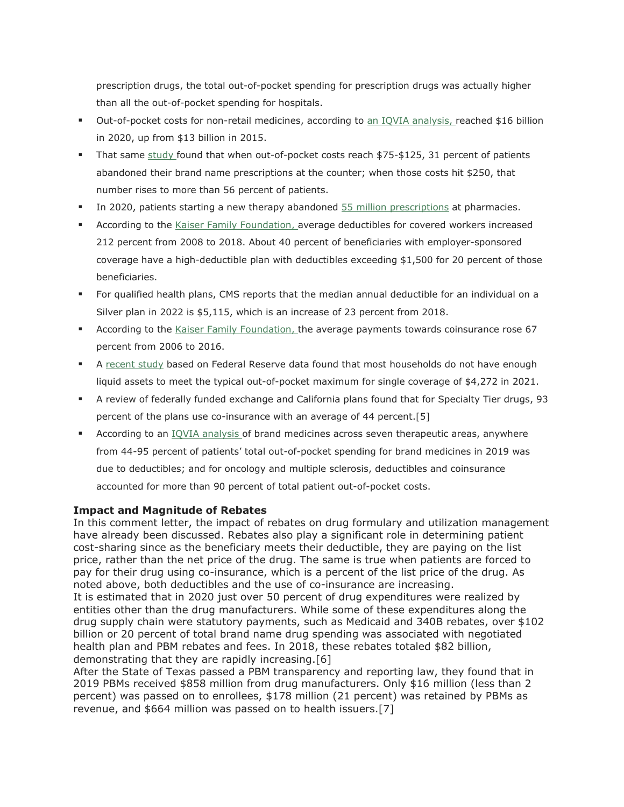prescription drugs, the total out-of-pocket spending for prescription drugs was actually higher than all the out-of-pocket spending for hospitals.

- Out-of-pocket costs for non-retail medicines, according to [an IQVIA analysis,](https://r20.rs6.net/tn.jsp?f=001CuL-Cnr8yendvSzYWNYArdYiQFDrQEPavmN33Ui9lLLlKAcHsRs-zQvzQnkwG8p6MpgT4Az65F0z4W7UAN9jSOVv8YwywqCZEJq5ss05nbIh0NEV0PsQVvYJ7RNcqn-qUwvYKV6lKC4zXmGT4kG4akaUoiXZmR_b5OD_9X1BgjCLbfitZTmC2ojzEV9r6h8hjoxrNo59KGRxg31GuUNJIC1qEo8KasekTC3l5urkDJbrpJi80xxyZxggAM3l8HT70sNxPzIx27UjtUDhoJ2KyjAYbZm3D-QF6AejyjbLQGTAOB88eHWP90iAjZID1bcHK-90KrPmdyokM43iYqqFiIRDLCf07cDF8jkio5EpNJuwumkurFarig==&c=dQoG50ztEfBQO2WP6wLEkwvZicYLQE9iS7Ehbd2GS9grlqOyO0Xinw==&ch=7PhW4FmM1kGKaqBCsMv74-H5dyw1vnoueGbrSMjeZD-1s9mF4nTgkg==) reached \$16 billion in 2020, up from \$13 billion in 2015.
- That same  $\frac{\text{study}}{\text{found}}$  $\frac{\text{study}}{\text{found}}$  $\frac{\text{study}}{\text{found}}$  found that when out-of-pocket costs reach \$75-\$125, 31 percent of patients abandoned their brand name prescriptions at the counter; when those costs hit \$250, that number rises to more than 56 percent of patients.
- In 2020, patients starting a new therapy abandoned **[55 million prescriptions](https://r20.rs6.net/tn.jsp?f=001CuL-Cnr8yendvSzYWNYArdYiQFDrQEPavmN33Ui9lLLlKAcHsRs-zQvzQnkwG8p6MpgT4Az65F0z4W7UAN9jSOVv8YwywqCZEJq5ss05nbIh0NEV0PsQVvYJ7RNcqn-qUwvYKV6lKC4zXmGT4kG4akaUoiXZmR_b5OD_9X1BgjCLbfitZTmC2ojzEV9r6h8hjoxrNo59KGRxg31GuUNJIC1qEo8KasekTC3l5urkDJYNuxQM1cmBTA==&c=dQoG50ztEfBQO2WP6wLEkwvZicYLQE9iS7Ehbd2GS9grlqOyO0Xinw==&ch=7PhW4FmM1kGKaqBCsMv74-H5dyw1vnoueGbrSMjeZD-1s9mF4nTgkg==)** at pharmacies.
- According to the [Kaiser Family Foundation,](https://r20.rs6.net/tn.jsp?f=001CuL-Cnr8yendvSzYWNYArdYiQFDrQEPavmN33Ui9lLLlKAcHsRs-zf9URGaQ6kNzXVwwOlXc23IIXpy2KMqQ1GRrQqpf-q_Nr1YwklHTRazu4_ViNg5SsRiN-EB6cFYxAHbusUmPRemgXPw2I69V1d-YfRmj1Wk8QFI4K5z29q7EPaxGhXaFj_S8RZ28fEnGXoAAf7C55oAJz4D83RziTZ5sGICEwNpdrC8UWgAPv4gESB71wSFylr1__EeDdQinZRKQZPJ4EteTff3cOC6MCg==&c=dQoG50ztEfBQO2WP6wLEkwvZicYLQE9iS7Ehbd2GS9grlqOyO0Xinw==&ch=7PhW4FmM1kGKaqBCsMv74-H5dyw1vnoueGbrSMjeZD-1s9mF4nTgkg==) average deductibles for covered workers increased 212 percent from 2008 to 2018. About 40 percent of beneficiaries with employer-sponsored coverage have a high-deductible plan with deductibles exceeding \$1,500 for 20 percent of those beneficiaries.
- For qualified health plans, CMS reports that the median annual deductible for an individual on a Silver plan in 2022 is \$5,115, which is an increase of 23 percent from 2018.
- **According to the [Kaiser Family Foundation,](https://r20.rs6.net/tn.jsp?f=001CuL-Cnr8yendvSzYWNYArdYiQFDrQEPavmN33Ui9lLLlKAcHsRs-zbXaSdyzVKw1kbGR47i8y8j5hJJZ2bePwm2FiSgkAM9S00XdnsvQjyrQ9Pq1cJc_LwyyB6aFXH8QzwuCUnnxEF7x5h-CE9CLWSYj35DvtwSVZOU-omnVQT3jaUxBYl9r90aSTXZ3klvDbx8xTrlZFkHDpvmh8w6rJhkIyjE-lyuRg_qZRMdUExdv7yPKQlyHDddyyvicE8UawpJmXaeBsXA=&c=dQoG50ztEfBQO2WP6wLEkwvZicYLQE9iS7Ehbd2GS9grlqOyO0Xinw==&ch=7PhW4FmM1kGKaqBCsMv74-H5dyw1vnoueGbrSMjeZD-1s9mF4nTgkg==) the average payments towards coinsurance rose 67** percent from 2006 to 2016.
- A [recent study](https://r20.rs6.net/tn.jsp?f=001CuL-Cnr8yendvSzYWNYArdYiQFDrQEPavmN33Ui9lLLlKAcHsRs-zc6ido4fwS5fY1uTPg3iECdl5Y2SgyFHV-zf0HR5-qmdF6PwPHMKkES_VeMKUC6yMylmgfR_vf0-naDq8vylSFByQE90w-JK21V3aWfT7GDUOQXfuQyeQYcEqoCLcjj_EQml4UcA-RXLfJAJJ3yzLx57NZn5fSXcN00RO59lLP2EIgqh7MMCo-Zl5h6yWXYDOgPhABXVvU4jK58Aoq63vDZSjkzr-mTqiB3Jikpp76yn1H-0ADeKUSI=&c=dQoG50ztEfBQO2WP6wLEkwvZicYLQE9iS7Ehbd2GS9grlqOyO0Xinw==&ch=7PhW4FmM1kGKaqBCsMv74-H5dyw1vnoueGbrSMjeZD-1s9mF4nTgkg==) based on Federal Reserve data found that most households do not have enough liquid assets to meet the typical out-of-pocket maximum for single coverage of \$4,272 in 2021.
- A review of federally funded exchange and California plans found that for Specialty Tier drugs, 93 percent of the plans use co-insurance with an average of 44 percent.[5]
- According to an [IQVIA analysis](https://r20.rs6.net/tn.jsp?f=001E1OwNTbg-asLTnf_NPqclSXk1vUiE0pUbnmuQFKAvZazMBbL28Q6jPijBVQNxWgyrjaSIGgQr1dOsCWrSbO2opej_90_y7pGMWfQWii17cc1KSyJSVvHSq0bUVwN-AbJMx3PO0Nurp6jff1xRx0AnAEwhMpB7GhmYrP5NRUHcgqlY8kNuGTZ_7RPp-kogELYP26Oq_Nh7IE0AJxaBp3BLiPTayrw_YTgqU9t3xW5jQocsm5le6YeM0htgIZM0m1M8Fa5KLbYnR7vnj-O2VgvzA%3D%3D&c=ishox72wgFNX-zvVLDFIrxBkAh8Hc5Ua8Nio51BZi4fqxVsh7xxuag%3D%3D&ch=RYohjbrBK_ClL0BZwTONhuEmq_w9iNUb7VA8JXiTDHJ-nxqDItzNlQ%3D%3D) of brand medicines across seven therapeutic areas, anywhere from 44-95 percent of patients' total out-of-pocket spending for brand medicines in 2019 was due to deductibles; and for oncology and multiple sclerosis, deductibles and coinsurance accounted for more than 90 percent of total patient out-of-pocket costs.

# **Impact and Magnitude of Rebates**

In this comment letter, the impact of rebates on drug formulary and utilization management have already been discussed. Rebates also play a significant role in determining patient cost-sharing since as the beneficiary meets their deductible, they are paying on the list price, rather than the net price of the drug. The same is true when patients are forced to pay for their drug using co-insurance, which is a percent of the list price of the drug. As noted above, both deductibles and the use of co-insurance are increasing.

It is estimated that in 2020 just over 50 percent of drug expenditures were realized by entities other than the drug manufacturers. While some of these expenditures along the drug supply chain were statutory payments, such as Medicaid and 340B rebates, over \$102 billion or 20 percent of total brand name drug spending was associated with negotiated health plan and PBM rebates and fees. In 2018, these rebates totaled \$82 billion, demonstrating that they are rapidly increasing.[6]

After the State of Texas passed a PBM transparency and reporting law, they found that in 2019 PBMs received \$858 million from drug manufacturers. Only \$16 million (less than 2 percent) was passed on to enrollees, \$178 million (21 percent) was retained by PBMs as revenue, and \$664 million was passed on to health issuers.[7]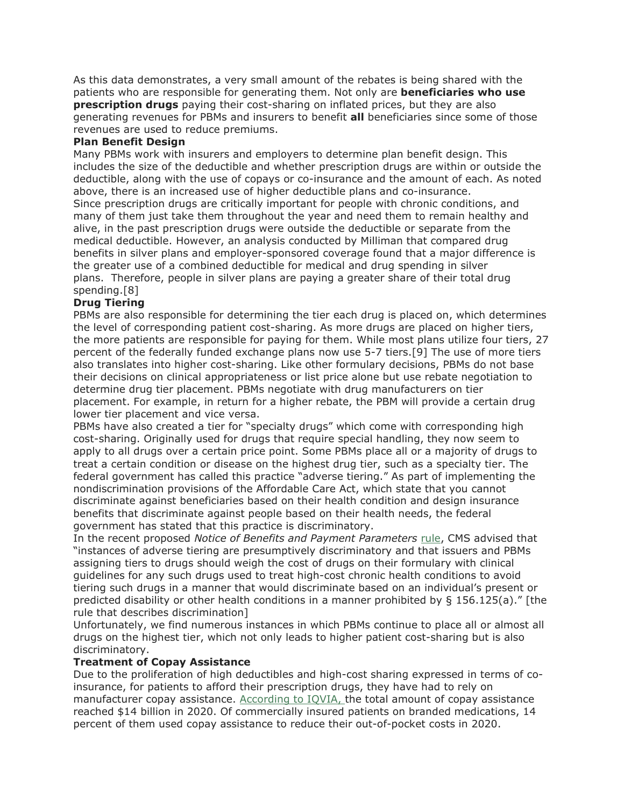As this data demonstrates, a very small amount of the rebates is being shared with the patients who are responsible for generating them. Not only are **beneficiaries who use prescription drugs** paying their cost-sharing on inflated prices, but they are also generating revenues for PBMs and insurers to benefit **all** beneficiaries since some of those revenues are used to reduce premiums.

## **Plan Benefit Design**

Many PBMs work with insurers and employers to determine plan benefit design. This includes the size of the deductible and whether prescription drugs are within or outside the deductible, along with the use of copays or co-insurance and the amount of each. As noted above, there is an increased use of higher deductible plans and co-insurance. Since prescription drugs are critically important for people with chronic conditions, and many of them just take them throughout the year and need them to remain healthy and alive, in the past prescription drugs were outside the deductible or separate from the medical deductible. However, an analysis conducted by Milliman that compared drug benefits in silver plans and employer-sponsored coverage found that a major difference is the greater use of a combined deductible for medical and drug spending in silver plans. Therefore, people in silver plans are paying a greater share of their total drug spending.[8]

# **Drug Tiering**

PBMs are also responsible for determining the tier each drug is placed on, which determines the level of corresponding patient cost-sharing. As more drugs are placed on higher tiers, the more patients are responsible for paying for them. While most plans utilize four tiers, 27 percent of the federally funded exchange plans now use 5-7 tiers.[9] The use of more tiers also translates into higher cost-sharing. Like other formulary decisions, PBMs do not base their decisions on clinical appropriateness or list price alone but use rebate negotiation to determine drug tier placement. PBMs negotiate with drug manufacturers on tier placement. For example, in return for a higher rebate, the PBM will provide a certain drug lower tier placement and vice versa.

PBMs have also created a tier for "specialty drugs" which come with corresponding high cost-sharing. Originally used for drugs that require special handling, they now seem to apply to all drugs over a certain price point. Some PBMs place all or a majority of drugs to treat a certain condition or disease on the highest drug tier, such as a specialty tier. The federal government has called this practice "adverse tiering." As part of implementing the nondiscrimination provisions of the Affordable Care Act, which state that you cannot discriminate against beneficiaries based on their health condition and design insurance benefits that discriminate against people based on their health needs, the federal government has stated that this practice is discriminatory.

In the recent proposed *Notice of Benefits and Payment Parameters* [rule,](https://r20.rs6.net/tn.jsp?f=001CuL-Cnr8yendvSzYWNYArdYiQFDrQEPavmN33Ui9lLLlKAcHsRs-zeOFjYQVr4ReFK4ExfvBrVuF7mGRnheo_GJin05l4QY8hiS5R3uH339vGklwZepHeKtXeNw9DPCNZ_3H-WDA2S2r7LdhoEadmq-TW7kkhSH7QkZpMOHm4GZWehXEX48P9eCZJo4IW6mw&c=dQoG50ztEfBQO2WP6wLEkwvZicYLQE9iS7Ehbd2GS9grlqOyO0Xinw==&ch=7PhW4FmM1kGKaqBCsMv74-H5dyw1vnoueGbrSMjeZD-1s9mF4nTgkg==) CMS advised that "instances of adverse tiering are presumptively discriminatory and that issuers and PBMs assigning tiers to drugs should weigh the cost of drugs on their formulary with clinical guidelines for any such drugs used to treat high-cost chronic health conditions to avoid tiering such drugs in a manner that would discriminate based on an individual's present or predicted disability or other health conditions in a manner prohibited by § 156.125(a)." [the rule that describes discrimination]

Unfortunately, we find numerous instances in which PBMs continue to place all or almost all drugs on the highest tier, which not only leads to higher patient cost-sharing but is also discriminatory.

# **Treatment of Copay Assistance**

Due to the proliferation of high deductibles and high-cost sharing expressed in terms of coinsurance, for patients to afford their prescription drugs, they have had to rely on manufacturer copay assistance. [According to IQVIA,](https://r20.rs6.net/tn.jsp?f=001CuL-Cnr8yendvSzYWNYArdYiQFDrQEPavmN33Ui9lLLlKAcHsRs-zQvzQnkwG8p6MpgT4Az65F0z4W7UAN9jSOVv8YwywqCZEJq5ss05nbIh0NEV0PsQVvYJ7RNcqn-qUwvYKV6lKC4zXmGT4kG4akaUoiXZmR_b5OD_9X1BgjCLbfitZTmC2ojzEV9r6h8hjoxrNo59KGRxg31GuUNJIC1qEo8KasekTC3l5urkDJbrpJi80xxyZxggAM3l8HT70sNxPzIx27UjtUDhoJ2KyjAYbZm3D-QF6AejyjbLQGTAOB88eHWP90iAjZID1bcHK-90KrPmdyokM43iYqqFiIRDLCf07cDF8jkio5EpNJuwumkurFarig==&c=dQoG50ztEfBQO2WP6wLEkwvZicYLQE9iS7Ehbd2GS9grlqOyO0Xinw==&ch=7PhW4FmM1kGKaqBCsMv74-H5dyw1vnoueGbrSMjeZD-1s9mF4nTgkg==) the total amount of copay assistance reached \$14 billion in 2020. Of commercially insured patients on branded medications, 14 percent of them used copay assistance to reduce their out-of-pocket costs in 2020.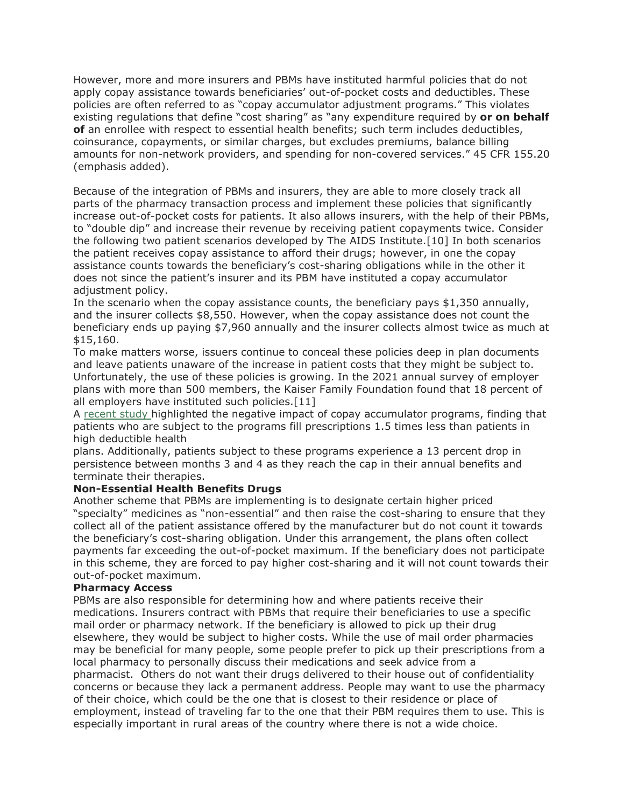However, more and more insurers and PBMs have instituted harmful policies that do not apply copay assistance towards beneficiaries' out-of-pocket costs and deductibles. These policies are often referred to as "copay accumulator adjustment programs." This violates existing regulations that define "cost sharing" as "any expenditure required by **or on behalf of** an enrollee with respect to essential health benefits; such term includes deductibles, coinsurance, copayments, or similar charges, but excludes premiums, balance billing amounts for non-network providers, and spending for non-covered services." 45 CFR 155.20 (emphasis added).

Because of the integration of PBMs and insurers, they are able to more closely track all parts of the pharmacy transaction process and implement these policies that significantly increase out-of-pocket costs for patients. It also allows insurers, with the help of their PBMs, to "double dip" and increase their revenue by receiving patient copayments twice. Consider the following two patient scenarios developed by The AIDS Institute.[10] In both scenarios the patient receives copay assistance to afford their drugs; however, in one the copay assistance counts towards the beneficiary's cost-sharing obligations while in the other it does not since the patient's insurer and its PBM have instituted a copay accumulator adjustment policy.

In the scenario when the copay assistance counts, the beneficiary pays \$1,350 annually, and the insurer collects \$8,550. However, when the copay assistance does not count the beneficiary ends up paying \$7,960 annually and the insurer collects almost twice as much at \$15,160.

To make matters worse, issuers continue to conceal these policies deep in plan documents and leave patients unaware of the increase in patient costs that they might be subject to. Unfortunately, the use of these policies is growing. In the 2021 annual survey of employer plans with more than 500 members, the Kaiser Family Foundation found that 18 percent of all employers have instituted such policies.[11]

A [recent study](https://r20.rs6.net/tn.jsp?f=001CuL-Cnr8yendvSzYWNYArdYiQFDrQEPavmN33Ui9lLLlKAcHsRs-zbXaSdyzVKw1mCr_JtL1VtDlufqHcv4HeH_EAhuwku5yc6uYxO04tS7Onsc4XFBKs6s2d0oP72WFcGIBXUzop3y8eT9JlSqoPO4KLQyYlfdfswPR0EZMZuJ9ZjWEs9g2eV5a-LjNtORVodQj3yaYVLTdoV9ZmmT3ubpu4cKXkdODhiEFrger_vvGKDFXJ_ChBzTMi_CAbL83xYEWC1zydA6yEWUxrjd3pg==&c=dQoG50ztEfBQO2WP6wLEkwvZicYLQE9iS7Ehbd2GS9grlqOyO0Xinw==&ch=7PhW4FmM1kGKaqBCsMv74-H5dyw1vnoueGbrSMjeZD-1s9mF4nTgkg==) highlighted the negative impact of copay accumulator programs, finding that patients who are subject to the programs fill prescriptions 1.5 times less than patients in high deductible health

plans. Additionally, patients subject to these programs experience a 13 percent drop in persistence between months 3 and 4 as they reach the cap in their annual benefits and terminate their therapies.

## **Non-Essential Health Benefits Drugs**

Another scheme that PBMs are implementing is to designate certain higher priced "specialty" medicines as "non-essential" and then raise the cost-sharing to ensure that they collect all of the patient assistance offered by the manufacturer but do not count it towards the beneficiary's cost-sharing obligation. Under this arrangement, the plans often collect payments far exceeding the out-of-pocket maximum. If the beneficiary does not participate in this scheme, they are forced to pay higher cost-sharing and it will not count towards their out-of-pocket maximum.

## **Pharmacy Access**

PBMs are also responsible for determining how and where patients receive their medications. Insurers contract with PBMs that require their beneficiaries to use a specific mail order or pharmacy network. If the beneficiary is allowed to pick up their drug elsewhere, they would be subject to higher costs. While the use of mail order pharmacies may be beneficial for many people, some people prefer to pick up their prescriptions from a local pharmacy to personally discuss their medications and seek advice from a pharmacist. Others do not want their drugs delivered to their house out of confidentiality concerns or because they lack a permanent address. People may want to use the pharmacy of their choice, which could be the one that is closest to their residence or place of employment, instead of traveling far to the one that their PBM requires them to use. This is especially important in rural areas of the country where there is not a wide choice.